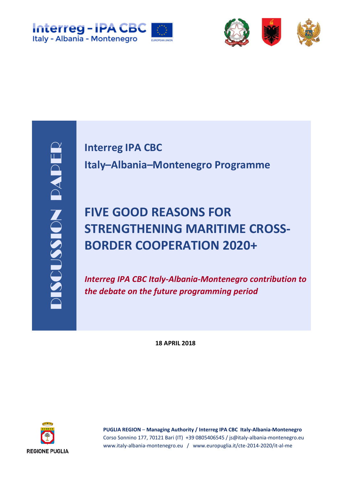



**Interreg IPA CBC Italy–Albania–Montenegro Programme**

## **FIVE GOOD REASONS FOR STRENGTHENING MARITIME CROSS-BORDER COOPERATION 2020+**

*Interreg IPA CBC Italy-Albania-Montenegro contribution to the debate on the future programming period*

**18 APRIL 2018**



**PUGLIA REGION** – **Managing Authority / Interreg IPA CBC Italy-Albania-Montenegro** Corso Sonnino 177, 70121 Bari (IT) +39 0805406545 / js@italy-albania-montenegro.eu www.italy-albania-montenegro.eu / www.europuglia.it/cte-2014-2020/it-al-me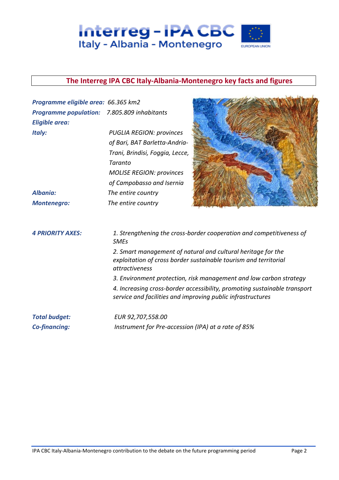

#### **The Interreg IPA CBC Italy-Albania-Montenegro key facts and figures**

| Programme eligible area: 66.365 km2         |                                                                                                                                                    |  |
|---------------------------------------------|----------------------------------------------------------------------------------------------------------------------------------------------------|--|
| Programme population: 7.805.809 inhabitants |                                                                                                                                                    |  |
| <b>Eligible area:</b>                       |                                                                                                                                                    |  |
| Italy:                                      | <b>PUGLIA REGION: provinces</b>                                                                                                                    |  |
|                                             | of Bari, BAT Barletta-Andria-                                                                                                                      |  |
|                                             | Trani, Brindisi, Foggia, Lecce,                                                                                                                    |  |
|                                             | Taranto                                                                                                                                            |  |
|                                             | <b>MOLISE REGION: provinces</b>                                                                                                                    |  |
|                                             | of Campobasso and Isernia                                                                                                                          |  |
| Albania:                                    | The entire country                                                                                                                                 |  |
| <b>Montenegro:</b>                          | The entire country                                                                                                                                 |  |
| <b>4 PRIORITY AXES:</b>                     | 1. Strengthening the cross-border cooperation and competitiveness of<br><b>SMEs</b>                                                                |  |
|                                             | 2. Smart management of natural and cultural heritage for the<br>exploitation of cross border sustainable tourism and territorial<br>attractiveness |  |
|                                             | 3. Environment protection, risk management and low carbon strategy                                                                                 |  |
|                                             | 4. Increasing cross-border accessibility, promoting sustainable transport<br>service and facilities and improving public infrastructures           |  |
| <b>Total budget:</b>                        | EUR 92,707,558.00                                                                                                                                  |  |
| <b>Co-financing:</b>                        | Instrument for Pre-accession (IPA) at a rate of 85%                                                                                                |  |

**New Little**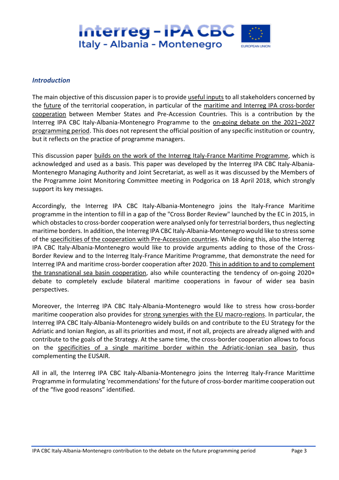

#### *Introduction*

The main objective of this discussion paper is to provide useful inputs to all stakeholders concerned by the future of the territorial cooperation, in particular of the maritime and Interreg IPA cross-border cooperation between Member States and Pre-Accession Countries. This is a contribution by the Interreg IPA CBC Italy-Albania-Montenegro Programme to the on-going debate on the 2021–2027 programming period. This does not represent the official position of any specific institution or country, but it reflects on the practice of programme managers.

This discussion paper builds on the work of the Interreg Italy-France Maritime Programme, which is acknowledged and used as a basis. This paper was developed by the Interreg IPA CBC Italy-Albania-Montenegro Managing Authority and Joint Secretariat, as well as it was discussed by the Members of the Programme Joint Monitoring Committee meeting in Podgorica on 18 April 2018, which strongly support its key messages.

Accordingly, the Interreg IPA CBC Italy-Albania-Montenegro joins the Italy-France Maritime programme in the intention to fill in a gap of the "Cross Border Review" launched by the EC in 2015, in which obstacles to cross-border cooperation were analysed only for terrestrial borders, thus neglecting maritime borders. In addition, the Interreg IPA CBC Italy-Albania-Montenegro would like to stress some of the specificities of the cooperation with Pre-Accession countries. While doing this, also the Interreg IPA CBC Italy-Albania-Montenegro would like to provide arguments adding to those of the Cross-Border Review and to the Interreg Italy-France Maritime Programme, that demonstrate the need for Interreg IPA and maritime cross-border cooperation after 2020. This in addition to and to complement the transnational sea basin cooperation, also while counteracting the tendency of on-going 2020+ debate to completely exclude bilateral maritime cooperations in favour of wider sea basin perspectives.

Moreover, the Interreg IPA CBC Italy-Albania-Montenegro would like to stress how cross-border maritime cooperation also provides for strong synergies with the EU macro-regions. In particular, the Interreg IPA CBC Italy-Albania-Montenegro widely builds on and contribute to the EU Strategy for the Adriatic and Ionian Region, as all its priorities and most, if not all, projects are already aligned with and contribute to the goals of the Strategy. At the same time, the cross-border cooperation allows to focus on the specificities of a single maritime border within the Adriatic-Ionian sea basin, thus complementing the EUSAIR.

All in all, the Interreg IPA CBC Italy-Albania-Montenegro joins the Interreg Italy-France Marittime Programme in formulating 'recommendations' for the future of cross-border maritime cooperation out of the "five good reasons" identified.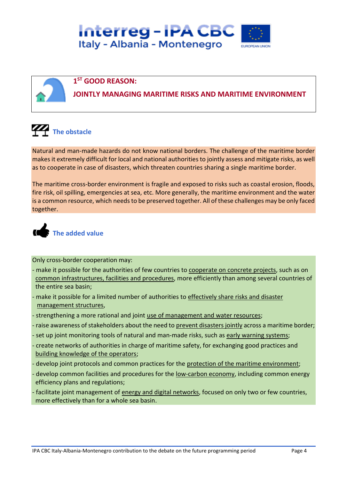

#### **1 ST GOOD REASON:**

**JOINTLY MANAGING MARITIME RISKS AND MARITIME ENVIRONMENT**

**The obstacle** 

Natural and man-made hazards do not know national borders. The challenge of the maritime border makes it extremely difficult for local and national authorities to jointly assess and mitigate risks, as well as to cooperate in case of disasters, which threaten countries sharing a single maritime border.

The maritime cross-border environment is fragile and exposed to risks such as coastal erosion, floods, fire risk, oil spilling, emergencies at sea, etc. More generally, the maritime environment and the water is a common resource, which needs to be preserved together. All of these challenges may be only faced together.



Only cross-border cooperation may:

- make it possible for the authorities of few countries to cooperate on concrete projects, such as on common infrastructures, facilities and procedures, more efficiently than among several countries of the entire sea basin;
- make it possible for a limited number of authorities to effectively share risks and disaster management structures,
- strengthening a more rational and joint use of management and water resources;
- raise awareness of stakeholders about the need to prevent disasters jointly across a maritime border;
- set up joint monitoring tools of natural and man-made risks, such as early warning systems;
- create networks of authorities in charge of maritime safety, for exchanging good practices and building knowledge of the operators;
- develop joint protocols and common practices for the protection of the maritime environment;
- develop common facilities and procedures for the low-carbon economy, including common energy efficiency plans and regulations;
- facilitate joint management of energy and digital networks, focused on only two or few countries, more effectively than for a whole sea basin.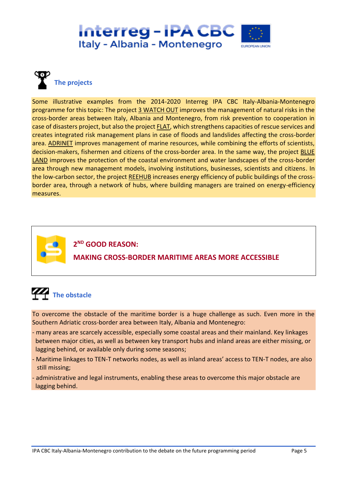



Some illustrative examples from the 2014-2020 Interreg IPA CBC Italy-Albania-Montenegro programme for this topic: The project 3 WATCH OUT improves the management of natural risks in the cross-border areas between Italy, Albania and Montenegro, from risk prevention to cooperation in case of disasters project, but also the project **FLAT**, which strengthens capacities of rescue services and creates integrated risk management plans in case of floods and landslides affecting the cross-border area. ADRINET improves management of marine resources, while combining the efforts of scientists, decision-makers, fishermen and citizens of the cross-border area. In the same way, the project **BLUE** LAND improves the protection of the coastal environment and water landscapes of the cross-border area through new management models, involving institutions, businesses, scientists and citizens. In the low-carbon sector, the project REEHUB increases energy efficiency of public buildings of the crossborder area, through a network of hubs, where building managers are trained on energy-efficiency measures.



**2 ND GOOD REASON: MAKING CROSS-BORDER MARITIME AREAS MORE ACCESSIBLE**



To overcome the obstacle of the maritime border is a huge challenge as such. Even more in the Southern Adriatic cross-border area between Italy, Albania and Montenegro:

- many areas are scarcely accessible, especially some coastal areas and their mainland. Key linkages between major cities, as well as between key transport hubs and inland areas are either missing, or lagging behind, or available only during some seasons;
- Maritime linkages to TEN-T networks nodes, as well as inland areas' access to TEN-T nodes, are also still missing;
- administrative and legal instruments, enabling these areas to overcome this major obstacle are lagging behind.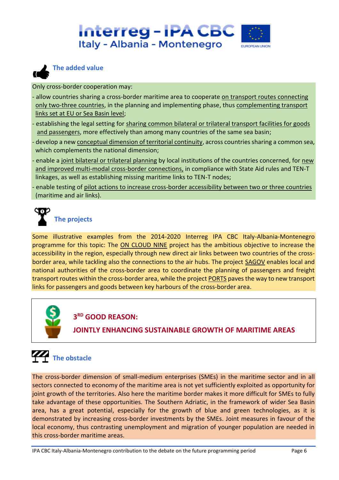



#### **The added value**

Only cross-border cooperation may:

- allow countries sharing a cross-border maritime area to cooperate on transport routes connecting only two-three countries, in the planning and implementing phase, thus complementing transport links set at EU or Sea Basin level;
- establishing the legal setting for sharing common bilateral or trilateral transport facilities for goods and passengers, more effectively than among many countries of the same sea basin;
- develop a new conceptual dimension of territorial continuity, across countries sharing a common sea, which complements the national dimension;
- enable a joint bilateral or trilateral planning by local institutions of the countries concerned, for new and improved multi-modal cross-border connections, in compliance with State Aid rules and TEN-T linkages, as well as establishing missing maritime links to TEN-T nodes;
- enable testing of pilot actions to increase cross-border accessibility between two or three countries (maritime and air links).

## **The projects**

Some illustrative examples from the 2014-2020 Interreg IPA CBC Italy-Albania-Montenegro programme for this topic: The ON CLOUD NINE project has the ambitious objective to increase the accessibility in the region, especially through new direct air links between two countries of the crossborder area, while tackling also the connections to the air hubs. The project SAGOV enables local and national authorities of the cross-border area to coordinate the planning of passengers and freight transport routes within the cross-border area, while the project PORTS paves the way to new transport links for passengers and goods between key harbours of the cross-border area.



#### **3 RD GOOD REASON:**

**JOINTLY ENHANCING SUSTAINABLE GROWTH OF MARITIME AREAS**



The cross-border dimension of small-medium enterprises (SMEs) in the maritime sector and in all sectors connected to economy of the maritime area is not yet sufficiently exploited as opportunity for joint growth of the territories. Also here the maritime border makes it more difficult for SMEs to fully take advantage of these opportunities. The Southern Adriatic, in the framework of wider Sea Basin area, has a great potential, especially for the growth of blue and green technologies, as it is demonstrated by increasing cross-border investments by the SMEs. Joint measures in favour of the local economy, thus contrasting unemployment and migration of younger population are needed in this cross-border maritime areas.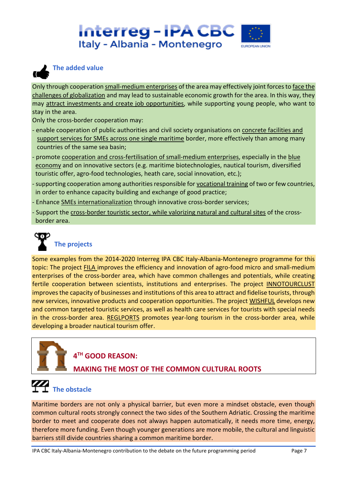



#### **The added value**

Only through cooperation small-medium enterprises of the area may effectively joint forces to face the challenges of globalization and may lead to sustainable economic growth for the area. In this way, they may attract investments and create job opportunities, while supporting young people, who want to stay in the area.

Only the cross-border cooperation may:

- enable cooperation of public authorities and civil society organisations on concrete facilities and support services for SMEs across one single maritime border, more effectively than among many countries of the same sea basin;
- promote cooperation and cross-fertilisation of small-medium enterprises, especially in the blue economy and on innovative sectors (e.g. maritime biotechnologies, nautical tourism, diversified touristic offer, agro-food technologies, heath care, social innovation, etc.);
- supporting cooperation among authorities responsible for vocational training of two or few countries, in order to enhance capacity building and exchange of good practice;
- Enhance **SMEs internationalization** through innovative cross-border services;
- Support the cross-border touristic sector, while valorizing natural and cultural sites of the crossborder area.



### **The projects**

Some examples from the 2014-2020 Interreg IPA CBC Italy-Albania-Montenegro programme for this topic: The project FILA improves the efficiency and innovation of agro-food micro and small-medium enterprises of the cross-border area, which have common challenges and potentials, while creating fertile cooperation between scientists, institutions and enterprises. The project INNOTOURCLUST improvesthe capacity of businesses and institutions of this area to attract and fidelise tourists, through new services, innovative products and cooperation opportunities. The project WISHFUL develops new and common targeted touristic services, as well as health care services for tourists with special needs in the cross-border area. REGLPORTS promotes year-long tourism in the cross-border area, while developing a broader nautical tourism offer.

#### **4 TH GOOD REASON:**

#### **MAKING THE MOST OF THE COMMON CULTURAL ROOTS**

## **The obstacle**

Maritime borders are not only a physical barrier, but even more a mindset obstacle, even though common cultural roots strongly connect the two sides of the Southern Adriatic. Crossing the maritime border to meet and cooperate does not always happen automatically, it needs more time, energy, therefore more funding. Even though younger generations are more mobile, the cultural and linguistic barriers still divide countries sharing a common maritime border.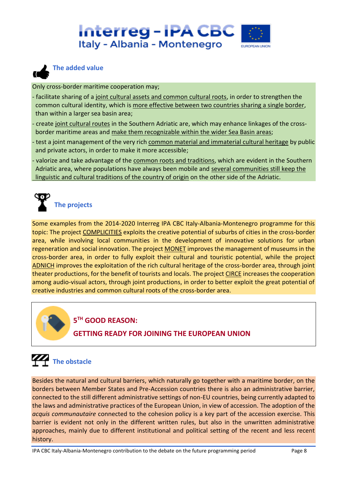



#### **The added value**

Only cross-border maritime cooperation may;

- facilitate sharing of a joint cultural assets and common cultural roots, in order to strengthen the common cultural identity, which is more effective between two countries sharing a single border, than within a larger sea basin area;
- create joint cultural routes in the Southern Adriatic are, which may enhance linkages of the cross border maritime areas and make them recognizable within the wider Sea Basin areas;
- test a joint management of the very rich common material and immaterial cultural heritage by public and private actors, in order to make it more accessible;
- valorize and take advantage of the common roots and traditions, which are evident in the Southern Adriatic area, where populations have always been mobile and several communities still keep the linguistic and cultural traditions of the country of origin on the other side of the Adriatic.

# **The projects**

Some examples from the 2014-2020 Interreg IPA CBC Italy-Albania-Montenegro programme for this topic: The project COMPLICITIES exploits the creative potential of suburbs of cities in the cross-border area, while involving local communities in the development of innovative solutions for urban regeneration and social innovation. The project MONET improves the management of museums in the cross-border area, in order to fully exploit their cultural and touristic potential, while the project ADNICH improves the exploitation of the rich cultural heritage of the cross-border area, through joint theater productions, for the benefit of tourists and locals. The project CIRCE increases the cooperation among audio-visual actors, through joint productions, in order to better exploit the great potential of creative industries and common cultural roots of the cross-border area.



#### **5 TH GOOD REASON:**

#### **GETTING READY FOR JOINING THE EUROPEAN UNION**

## **The obstacle**

Besides the natural and cultural barriers, which naturally go together with a maritime border, on the borders between Member States and Pre-Accession countries there is also an administrative barrier, connected to the still different administrative settings of non-EU countries, being currently adapted to the laws and administrative practices of the European Union, in view of accession. The adoption of the *acquis communautaire* connected to the cohesion policy is a key part of the accession exercise. This barrier is evident not only in the different written rules, but also in the unwritten administrative approaches, mainly due to different institutional and political setting of the recent and less recent history.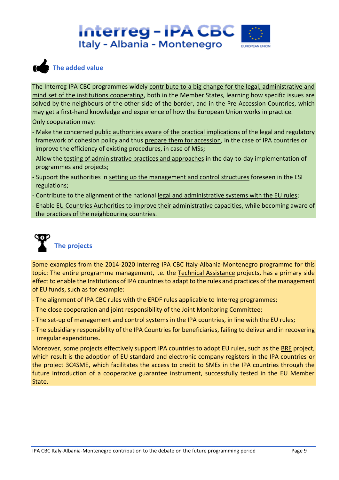



The Interreg IPA CBC programmes widely contribute to a big change for the legal, administrative and mind set of the institutions cooperating, both in the Member States, learning how specific issues are solved by the neighbours of the other side of the border, and in the Pre-Accession Countries, which may get a first-hand knowledge and experience of how the European Union works in practice. Only cooperation may:

- Make the concerned public authorities aware of the practical implications of the legal and regulatory framework of cohesion policy and thus prepare them for accession, in the case of IPA countries or improve the efficiency of existing procedures, in case of MSs;
- Allow the testing of administrative practices and approaches in the day-to-day implementation of programmes and projects;
- Support the authorities in setting up the management and control structures foreseen in the ESI regulations;
- Contribute to the alignment of the national legal and administrative systems with the EU rules;
- Enable EU Countries Authorities to improve their administrative capacities, while becoming aware of the practices of the neighbouring countries.



Some examples from the 2014-2020 Interreg IPA CBC Italy-Albania-Montenegro programme for this topic: The entire programme management, i.e. the Technical Assistance projects, has a primary side effect to enable the Institutions of IPA countries to adapt to the rules and practices of the management of EU funds, such as for example:

- The alignment of IPA CBC rules with the ERDF rules applicable to Interreg programmes;
- The close cooperation and joint responsibility of the Joint Monitoring Committee;
- The set-up of management and control systems in the IPA countries, in line with the EU rules;
- The subsidiary responsibility of the IPA Countries for beneficiaries, failing to deliver and in recovering irregular expenditures.

Moreover, some projects effectively support IPA countries to adopt EU rules, such as the BRE project, which result is the adoption of EU standard and electronic company registers in the IPA countries or the project 3C4SME, which facilitates the access to credit to SMEs in the IPA countries through the future introduction of a cooperative guarantee instrument, successfully tested in the EU Member State.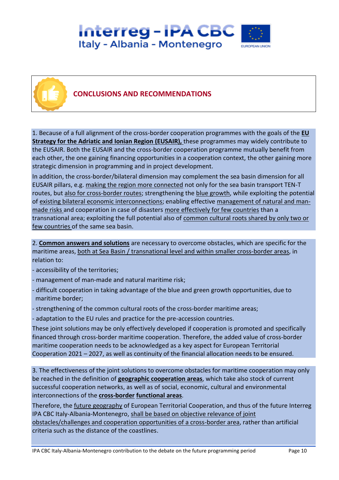## Interreg - IPA CBC Italy - Albania - Montenegro



#### **CONCLUSIONS AND RECOMMENDATIONS**

1. Because of a full alignment of the cross-border cooperation programmes with the goals of the **EU Strategy for the Adriatic and Ionian Region (EUSAIR),** these programmes may widely contribute to the EUSAIR. Both the EUSAIR and the cross-border cooperation programme mutually benefit from each other, the one gaining financing opportunities in a cooperation context, the other gaining more strategic dimension in programming and in project development.

In addition, the cross-border/bilateral dimension may complement the sea basin dimension for all EUSAIR pillars, e.g. making the region more connected not only for the sea basin transport TEN-T routes, but also for cross-border routes; strengthening the blue growth, while exploiting the potential of existing bilateral economic interconnections; enabling effective management of natural and manmade risks and cooperation in case of disasters more effectively for few countries than a transnational area; exploiting the full potential also of common cultural roots shared by only two or few countries of the same sea basin.

2. **Common answers and solutions** are necessary to overcome obstacles, which are specific for the maritime areas, both at Sea Basin / transnational level and within smaller cross-border areas, in relation to:

- accessibility of the territories;
- management of man-made and natural maritime risk;
- difficult cooperation in taking advantage of the blue and green growth opportunities, due to maritime border;
- strengthening of the common cultural roots of the cross-border maritime areas;
- adaptation to the EU rules and practice for the pre-accession countries.

These joint solutions may be only effectively developed if cooperation is promoted and specifically financed through cross-border maritime cooperation. Therefore, the added value of cross-border maritime cooperation needs to be acknowledged as a key aspect for European Territorial Cooperation 2021 – 2027, as well as continuity of the financial allocation needs to be ensured.

3. The effectiveness of the joint solutions to overcome obstacles for maritime cooperation may only be reached in the definition of **geographic cooperation areas**, which take also stock of current successful cooperation networks, as well as of social, economic, cultural and environmental interconnections of the **cross-border functional areas**.

Therefore, the **future geography of European Territorial Cooperation**, and thus of the future Interreg IPA CBC Italy-Albania-Montenegro, shall be based on objective relevance of joint obstacles/challenges and cooperation opportunities of a cross-border area, rather than artificial criteria such as the distance of the coastlines.